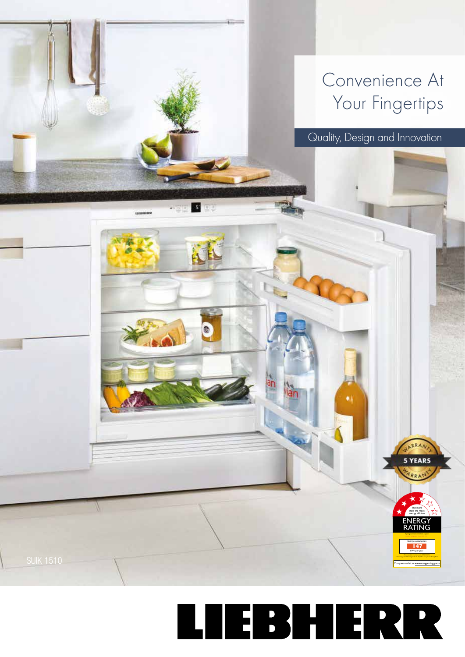## Convenience At Your Fingertips

Quality, Design and Innovation

**ENERGY** RATING

*A joint government and indust*r*y program* Energy consumption **147** kWh per year When tested in accordance with AS/NZS 4474.2

The more stars the more energy efficient

5 YEARS



SUIK 1510 Compare models at www.energyrating.com in the compare models at www.energyrating.com in the compare models at www.energyrating.com

-02 5 20

AK